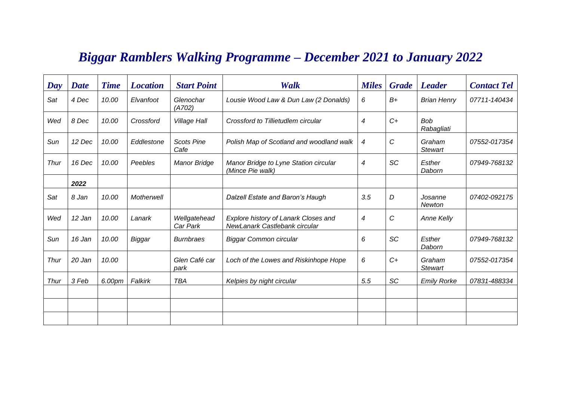## *Biggar Ramblers Walking Programme – December 2021 to January 2022*

| Day         | <b>Date</b> | <b>Time</b> | <b>Location</b> | <b>Start Point</b>        | Walk                                                                  | <b>Miles</b>   | <b>Grade</b> | <b>Leader</b>            | <b>Contact Tel</b> |
|-------------|-------------|-------------|-----------------|---------------------------|-----------------------------------------------------------------------|----------------|--------------|--------------------------|--------------------|
| Sat         | 4 Dec       | 10.00       | Elvanfoot       | Glenochar<br>(A702)       | Lousie Wood Law & Dun Law (2 Donalds)                                 | 6              | $B+$         | <b>Brian Henry</b>       | 07711-140434       |
| Wed         | 8 Dec       | 10.00       | Crossford       | <b>Village Hall</b>       | Crossford to Tillietudlem circular                                    | $\overline{4}$ | $C_{+}$      | <b>Bob</b><br>Rabagliati |                    |
| Sun         | 12 Dec      | 10.00       | Eddlestone      | <b>Scots Pine</b><br>Cafe | Polish Map of Scotland and woodland walk                              | 4              | C            | Graham<br><b>Stewart</b> | 07552-017354       |
| <b>Thur</b> | 16 Dec      | 10.00       | Peebles         | <b>Manor Bridge</b>       | Manor Bridge to Lyne Station circular<br>(Mince Pie walk)             | 4              | SC           | Esther<br>Daborn         | 07949-768132       |
|             | 2022        |             |                 |                           |                                                                       |                |              |                          |                    |
| Sat         | 8 Jan       | 10.00       | Motherwell      |                           | Dalzell Estate and Baron's Haugh                                      | 3.5            | D            | Josanne<br>Newton        | 07402-092175       |
| Wed         | 12 Jan      | 10.00       | Lanark          | Wellgatehead<br>Car Park  | Explore history of Lanark Closes and<br>NewLanark Castlebank circular | $\overline{4}$ | C            | <b>Anne Kelly</b>        |                    |
| Sun         | 16 Jan      | 10.00       | Biggar          | <b>Burnbraes</b>          | Biggar Common circular                                                | 6              | SC           | Esther<br>Daborn         | 07949-768132       |
| Thur        | 20 Jan      | 10.00       |                 | Glen Café car<br>park     | Loch of the Lowes and Riskinhope Hope                                 | 6              | $C+$         | Graham<br><b>Stewart</b> | 07552-017354       |
| Thur        | 3 Feb       | 6.00pm      | Falkirk         | TBA                       | Kelpies by night circular                                             | 5.5            | SC           | <b>Emily Rorke</b>       | 07831-488334       |
|             |             |             |                 |                           |                                                                       |                |              |                          |                    |
|             |             |             |                 |                           |                                                                       |                |              |                          |                    |
|             |             |             |                 |                           |                                                                       |                |              |                          |                    |